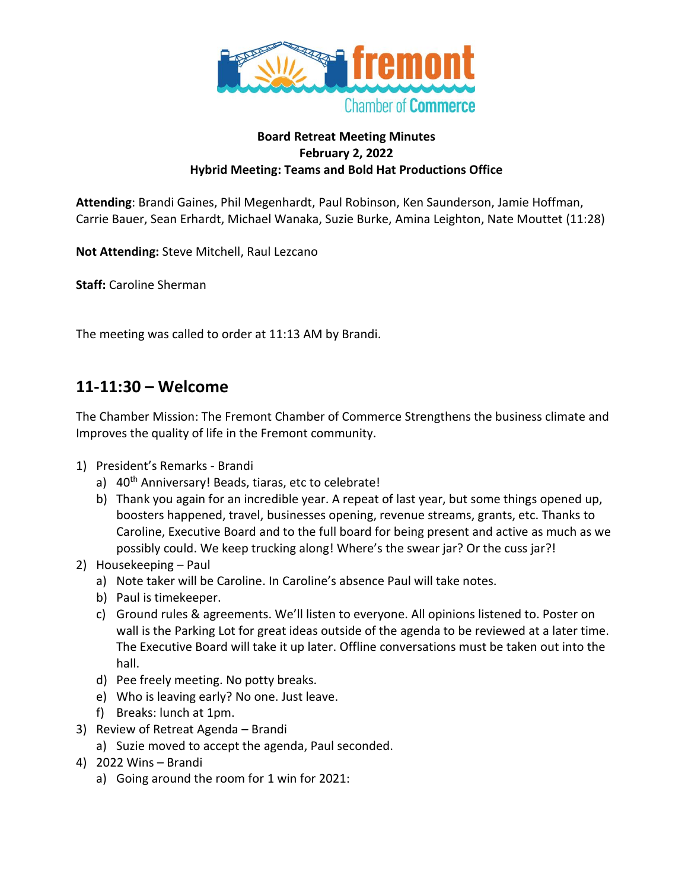

#### **Board Retreat Meeting Minutes February 2, 2022 Hybrid Meeting: Teams and Bold Hat Productions Office**

**Attending**: Brandi Gaines, Phil Megenhardt, Paul Robinson, Ken Saunderson, Jamie Hoffman, Carrie Bauer, Sean Erhardt, Michael Wanaka, Suzie Burke, Amina Leighton, Nate Mouttet (11:28)

**Not Attending:** Steve Mitchell, Raul Lezcano

**Staff:** Caroline Sherman

The meeting was called to order at 11:13 AM by Brandi.

#### **11-11:30 – Welcome**

The Chamber Mission: The Fremont Chamber of Commerce Strengthens the business climate and Improves the quality of life in the Fremont community.

- 1) President's Remarks Brandi
	- a) 40<sup>th</sup> Anniversary! Beads, tiaras, etc to celebrate!
	- b) Thank you again for an incredible year. A repeat of last year, but some things opened up, boosters happened, travel, businesses opening, revenue streams, grants, etc. Thanks to Caroline, Executive Board and to the full board for being present and active as much as we possibly could. We keep trucking along! Where's the swear jar? Or the cuss jar?!
- 2) Housekeeping Paul
	- a) Note taker will be Caroline. In Caroline's absence Paul will take notes.
	- b) Paul is timekeeper.
	- c) Ground rules & agreements. We'll listen to everyone. All opinions listened to. Poster on wall is the Parking Lot for great ideas outside of the agenda to be reviewed at a later time. The Executive Board will take it up later. Offline conversations must be taken out into the hall.
	- d) Pee freely meeting. No potty breaks.
	- e) Who is leaving early? No one. Just leave.
	- f) Breaks: lunch at 1pm.
- 3) Review of Retreat Agenda Brandi
	- a) Suzie moved to accept the agenda, Paul seconded.
- 4) 2022 Wins Brandi
	- a) Going around the room for 1 win for 2021: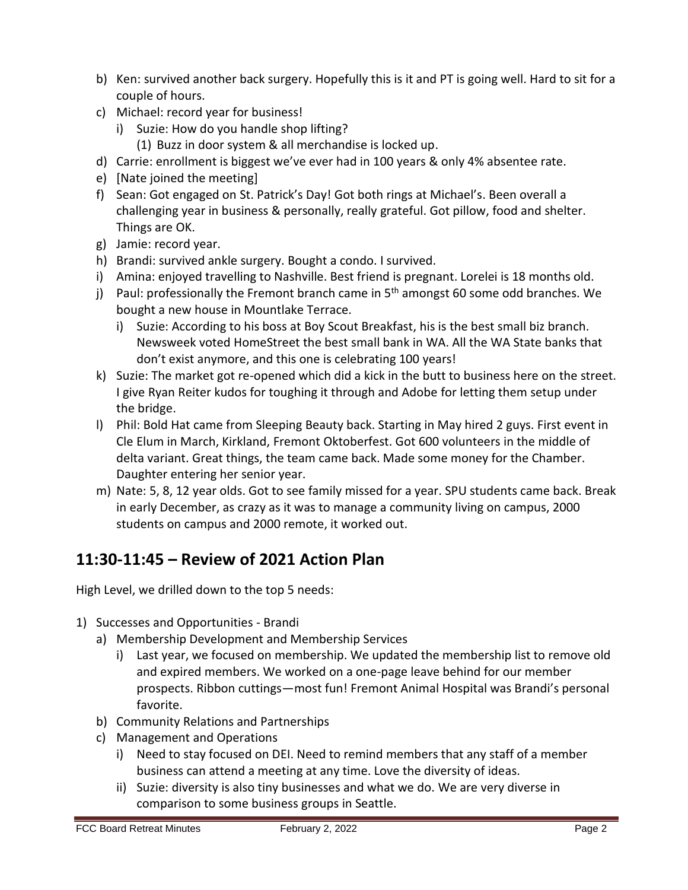- b) Ken: survived another back surgery. Hopefully this is it and PT is going well. Hard to sit for a couple of hours.
- c) Michael: record year for business!
	- i) Suzie: How do you handle shop lifting?
	- (1) Buzz in door system & all merchandise is locked up.
- d) Carrie: enrollment is biggest we've ever had in 100 years & only 4% absentee rate.
- e) [Nate joined the meeting]
- f) Sean: Got engaged on St. Patrick's Day! Got both rings at Michael's. Been overall a challenging year in business & personally, really grateful. Got pillow, food and shelter. Things are OK.
- g) Jamie: record year.
- h) Brandi: survived ankle surgery. Bought a condo. I survived.
- i) Amina: enjoyed travelling to Nashville. Best friend is pregnant. Lorelei is 18 months old.
- j) Paul: professionally the Fremont branch came in  $5<sup>th</sup>$  amongst 60 some odd branches. We bought a new house in Mountlake Terrace.
	- i) Suzie: According to his boss at Boy Scout Breakfast, his is the best small biz branch. Newsweek voted HomeStreet the best small bank in WA. All the WA State banks that don't exist anymore, and this one is celebrating 100 years!
- k) Suzie: The market got re-opened which did a kick in the butt to business here on the street. I give Ryan Reiter kudos for toughing it through and Adobe for letting them setup under the bridge.
- l) Phil: Bold Hat came from Sleeping Beauty back. Starting in May hired 2 guys. First event in Cle Elum in March, Kirkland, Fremont Oktoberfest. Got 600 volunteers in the middle of delta variant. Great things, the team came back. Made some money for the Chamber. Daughter entering her senior year.
- m) Nate: 5, 8, 12 year olds. Got to see family missed for a year. SPU students came back. Break in early December, as crazy as it was to manage a community living on campus, 2000 students on campus and 2000 remote, it worked out.

# **11:30-11:45 – Review of 2021 Action Plan**

High Level, we drilled down to the top 5 needs:

- 1) Successes and Opportunities Brandi
	- a) Membership Development and Membership Services
		- i) Last year, we focused on membership. We updated the membership list to remove old and expired members. We worked on a one-page leave behind for our member prospects. Ribbon cuttings—most fun! Fremont Animal Hospital was Brandi's personal favorite.
	- b) Community Relations and Partnerships
	- c) Management and Operations
		- i) Need to stay focused on DEI. Need to remind members that any staff of a member business can attend a meeting at any time. Love the diversity of ideas.
		- ii) Suzie: diversity is also tiny businesses and what we do. We are very diverse in comparison to some business groups in Seattle.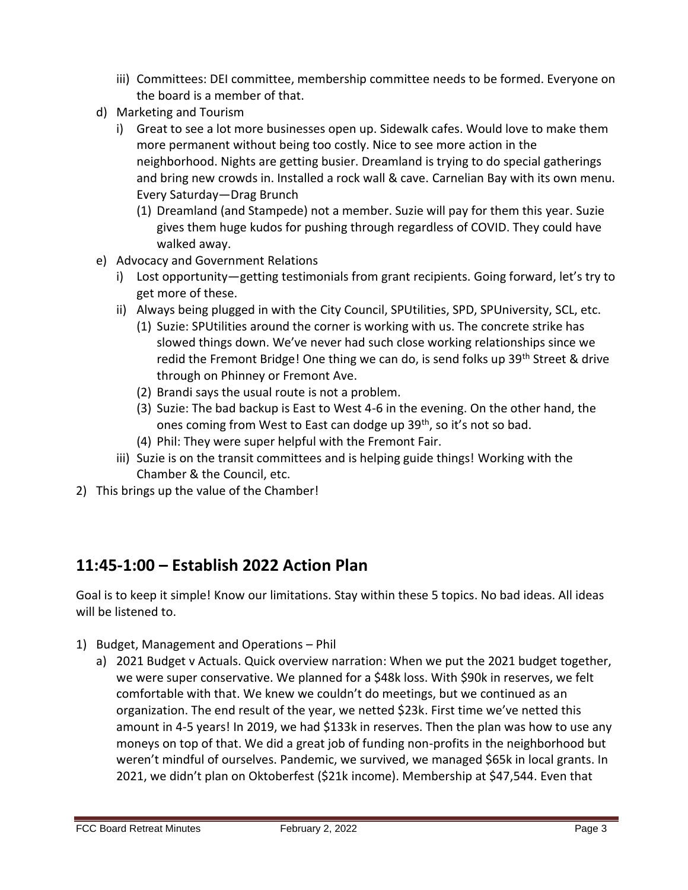- iii) Committees: DEI committee, membership committee needs to be formed. Everyone on the board is a member of that.
- d) Marketing and Tourism
	- i) Great to see a lot more businesses open up. Sidewalk cafes. Would love to make them more permanent without being too costly. Nice to see more action in the neighborhood. Nights are getting busier. Dreamland is trying to do special gatherings and bring new crowds in. Installed a rock wall & cave. Carnelian Bay with its own menu. Every Saturday—Drag Brunch
		- (1) Dreamland (and Stampede) not a member. Suzie will pay for them this year. Suzie gives them huge kudos for pushing through regardless of COVID. They could have walked away.
- e) Advocacy and Government Relations
	- i) Lost opportunity—getting testimonials from grant recipients. Going forward, let's try to get more of these.
	- ii) Always being plugged in with the City Council, SPUtilities, SPD, SPUniversity, SCL, etc.
		- (1) Suzie: SPUtilities around the corner is working with us. The concrete strike has slowed things down. We've never had such close working relationships since we redid the Fremont Bridge! One thing we can do, is send folks up 39<sup>th</sup> Street & drive through on Phinney or Fremont Ave.
		- (2) Brandi says the usual route is not a problem.
		- (3) Suzie: The bad backup is East to West 4-6 in the evening. On the other hand, the ones coming from West to East can dodge up 39<sup>th</sup>, so it's not so bad.
		- (4) Phil: They were super helpful with the Fremont Fair.
	- iii) Suzie is on the transit committees and is helping guide things! Working with the Chamber & the Council, etc.
- 2) This brings up the value of the Chamber!

### **11:45-1:00 – Establish 2022 Action Plan**

Goal is to keep it simple! Know our limitations. Stay within these 5 topics. No bad ideas. All ideas will be listened to.

- 1) Budget, Management and Operations Phil
	- a) 2021 Budget v Actuals. Quick overview narration: When we put the 2021 budget together, we were super conservative. We planned for a \$48k loss. With \$90k in reserves, we felt comfortable with that. We knew we couldn't do meetings, but we continued as an organization. The end result of the year, we netted \$23k. First time we've netted this amount in 4-5 years! In 2019, we had \$133k in reserves. Then the plan was how to use any moneys on top of that. We did a great job of funding non-profits in the neighborhood but weren't mindful of ourselves. Pandemic, we survived, we managed \$65k in local grants. In 2021, we didn't plan on Oktoberfest (\$21k income). Membership at \$47,544. Even that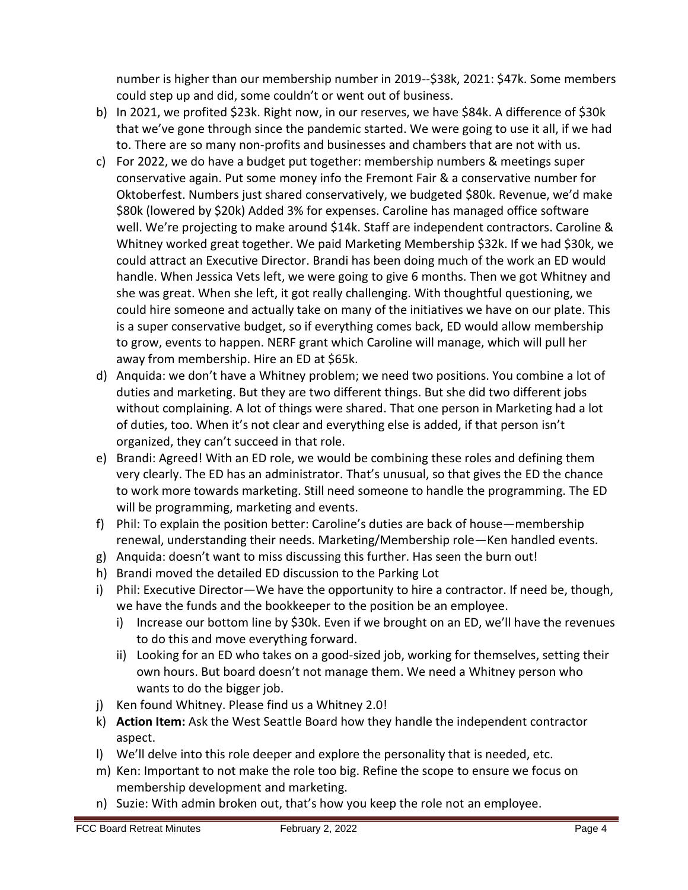number is higher than our membership number in 2019--\$38k, 2021: \$47k. Some members could step up and did, some couldn't or went out of business.

- b) In 2021, we profited \$23k. Right now, in our reserves, we have \$84k. A difference of \$30k that we've gone through since the pandemic started. We were going to use it all, if we had to. There are so many non-profits and businesses and chambers that are not with us.
- c) For 2022, we do have a budget put together: membership numbers & meetings super conservative again. Put some money info the Fremont Fair & a conservative number for Oktoberfest. Numbers just shared conservatively, we budgeted \$80k. Revenue, we'd make \$80k (lowered by \$20k) Added 3% for expenses. Caroline has managed office software well. We're projecting to make around \$14k. Staff are independent contractors. Caroline & Whitney worked great together. We paid Marketing Membership \$32k. If we had \$30k, we could attract an Executive Director. Brandi has been doing much of the work an ED would handle. When Jessica Vets left, we were going to give 6 months. Then we got Whitney and she was great. When she left, it got really challenging. With thoughtful questioning, we could hire someone and actually take on many of the initiatives we have on our plate. This is a super conservative budget, so if everything comes back, ED would allow membership to grow, events to happen. NERF grant which Caroline will manage, which will pull her away from membership. Hire an ED at \$65k.
- d) Anquida: we don't have a Whitney problem; we need two positions. You combine a lot of duties and marketing. But they are two different things. But she did two different jobs without complaining. A lot of things were shared. That one person in Marketing had a lot of duties, too. When it's not clear and everything else is added, if that person isn't organized, they can't succeed in that role.
- e) Brandi: Agreed! With an ED role, we would be combining these roles and defining them very clearly. The ED has an administrator. That's unusual, so that gives the ED the chance to work more towards marketing. Still need someone to handle the programming. The ED will be programming, marketing and events.
- f) Phil: To explain the position better: Caroline's duties are back of house—membership renewal, understanding their needs. Marketing/Membership role—Ken handled events.
- g) Anquida: doesn't want to miss discussing this further. Has seen the burn out!
- h) Brandi moved the detailed ED discussion to the Parking Lot
- i) Phil: Executive Director—We have the opportunity to hire a contractor. If need be, though, we have the funds and the bookkeeper to the position be an employee.
	- i) Increase our bottom line by \$30k. Even if we brought on an ED, we'll have the revenues to do this and move everything forward.
	- ii) Looking for an ED who takes on a good-sized job, working for themselves, setting their own hours. But board doesn't not manage them. We need a Whitney person who wants to do the bigger job.
- j) Ken found Whitney. Please find us a Whitney 2.0!
- k) **Action Item:** Ask the West Seattle Board how they handle the independent contractor aspect.
- l) We'll delve into this role deeper and explore the personality that is needed, etc.
- m) Ken: Important to not make the role too big. Refine the scope to ensure we focus on membership development and marketing.
- n) Suzie: With admin broken out, that's how you keep the role not an employee.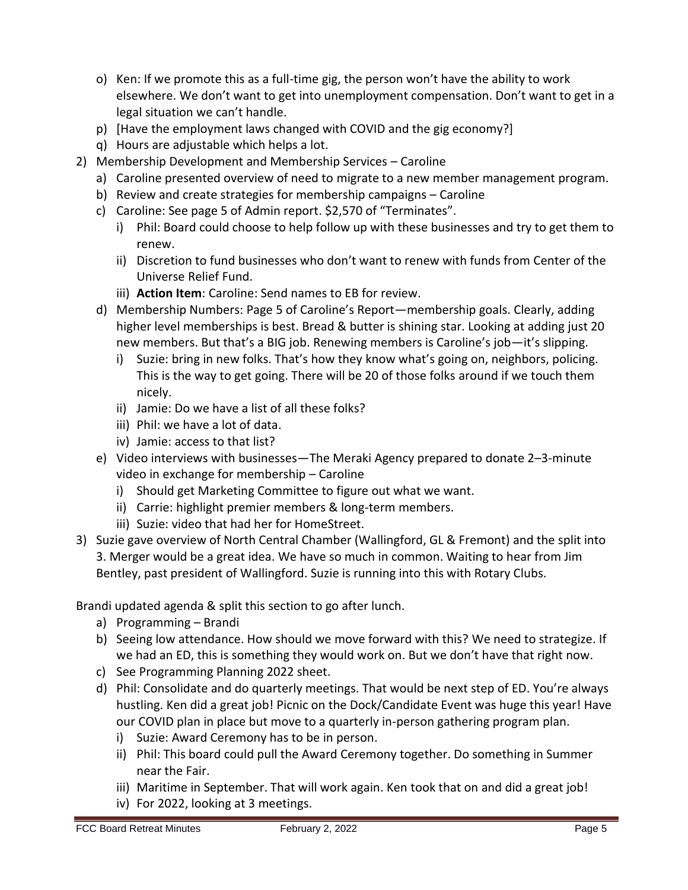- o) Ken: If we promote this as a full-time gig, the person won't have the ability to work elsewhere. We don't want to get into unemployment compensation. Don't want to get in a legal situation we can't handle.
- p) [Have the employment laws changed with COVID and the gig economy?]
- q) Hours are adjustable which helps a lot.
- 2) Membership Development and Membership Services Caroline
	- a) Caroline presented overview of need to migrate to a new member management program.
	- b) Review and create strategies for membership campaigns Caroline
	- c) Caroline: See page 5 of Admin report. \$2,570 of "Terminates".
		- i) Phil: Board could choose to help follow up with these businesses and try to get them to renew.
		- ii) Discretion to fund businesses who don't want to renew with funds from Center of the Universe Relief Fund.
		- iii) **Action Item**: Caroline: Send names to EB for review.
	- d) Membership Numbers: Page 5 of Caroline's Report—membership goals. Clearly, adding higher level memberships is best. Bread & butter is shining star. Looking at adding just 20 new members. But that's a BIG job. Renewing members is Caroline's job—it's slipping.
		- i) Suzie: bring in new folks. That's how they know what's going on, neighbors, policing. This is the way to get going. There will be 20 of those folks around if we touch them nicely.
		- ii) Jamie: Do we have a list of all these folks?
		- iii) Phil: we have a lot of data.
		- iv) Jamie: access to that list?
	- e) Video interviews with businesses—The Meraki Agency prepared to donate 2–3-minute video in exchange for membership – Caroline
		- i) Should get Marketing Committee to figure out what we want.
		- ii) Carrie: highlight premier members & long-term members.
		- iii) Suzie: video that had her for HomeStreet.
- 3) Suzie gave overview of North Central Chamber (Wallingford, GL & Fremont) and the split into 3. Merger would be a great idea. We have so much in common. Waiting to hear from Jim Bentley, past president of Wallingford. Suzie is running into this with Rotary Clubs.

Brandi updated agenda & split this section to go after lunch.

- a) Programming Brandi
- b) Seeing low attendance. How should we move forward with this? We need to strategize. If we had an ED, this is something they would work on. But we don't have that right now.
- c) See Programming Planning 2022 sheet.
- d) Phil: Consolidate and do quarterly meetings. That would be next step of ED. You're always hustling. Ken did a great job! Picnic on the Dock/Candidate Event was huge this year! Have our COVID plan in place but move to a quarterly in-person gathering program plan.
	- i) Suzie: Award Ceremony has to be in person.
	- ii) Phil: This board could pull the Award Ceremony together. Do something in Summer near the Fair.
	- iii) Maritime in September. That will work again. Ken took that on and did a great job!
	- iv) For 2022, looking at 3 meetings.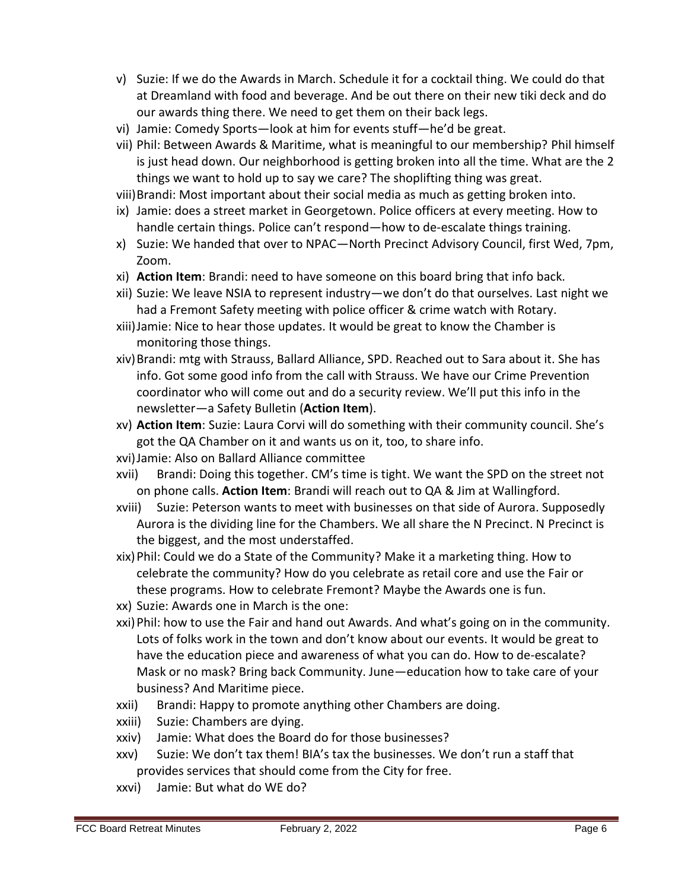- v) Suzie: If we do the Awards in March. Schedule it for a cocktail thing. We could do that at Dreamland with food and beverage. And be out there on their new tiki deck and do our awards thing there. We need to get them on their back legs.
- vi) Jamie: Comedy Sports—look at him for events stuff—he'd be great.
- vii) Phil: Between Awards & Maritime, what is meaningful to our membership? Phil himself is just head down. Our neighborhood is getting broken into all the time. What are the 2 things we want to hold up to say we care? The shoplifting thing was great.
- viii)Brandi: Most important about their social media as much as getting broken into.
- ix) Jamie: does a street market in Georgetown. Police officers at every meeting. How to handle certain things. Police can't respond—how to de-escalate things training.
- x) Suzie: We handed that over to NPAC—North Precinct Advisory Council, first Wed, 7pm, Zoom.
- xi) **Action Item**: Brandi: need to have someone on this board bring that info back.
- xii) Suzie: We leave NSIA to represent industry—we don't do that ourselves. Last night we had a Fremont Safety meeting with police officer & crime watch with Rotary.
- xiii)Jamie: Nice to hear those updates. It would be great to know the Chamber is monitoring those things.
- xiv)Brandi: mtg with Strauss, Ballard Alliance, SPD. Reached out to Sara about it. She has info. Got some good info from the call with Strauss. We have our Crime Prevention coordinator who will come out and do a security review. We'll put this info in the newsletter—a Safety Bulletin (**Action Item**).
- xv) **Action Item**: Suzie: Laura Corvi will do something with their community council. She's got the QA Chamber on it and wants us on it, too, to share info.
- xvi)Jamie: Also on Ballard Alliance committee
- xvii) Brandi: Doing this together. CM's time is tight. We want the SPD on the street not on phone calls. **Action Item**: Brandi will reach out to QA & Jim at Wallingford.
- xviii) Suzie: Peterson wants to meet with businesses on that side of Aurora. Supposedly Aurora is the dividing line for the Chambers. We all share the N Precinct. N Precinct is the biggest, and the most understaffed.
- xix)Phil: Could we do a State of the Community? Make it a marketing thing. How to celebrate the community? How do you celebrate as retail core and use the Fair or these programs. How to celebrate Fremont? Maybe the Awards one is fun.
- xx) Suzie: Awards one in March is the one:
- xxi)Phil: how to use the Fair and hand out Awards. And what's going on in the community. Lots of folks work in the town and don't know about our events. It would be great to have the education piece and awareness of what you can do. How to de-escalate? Mask or no mask? Bring back Community. June—education how to take care of your business? And Maritime piece.
- xxii) Brandi: Happy to promote anything other Chambers are doing.
- xxiii) Suzie: Chambers are dying.
- xxiv) Jamie: What does the Board do for those businesses?
- xxv) Suzie: We don't tax them! BIA's tax the businesses. We don't run a staff that provides services that should come from the City for free.
- xxvi) Jamie: But what do WE do?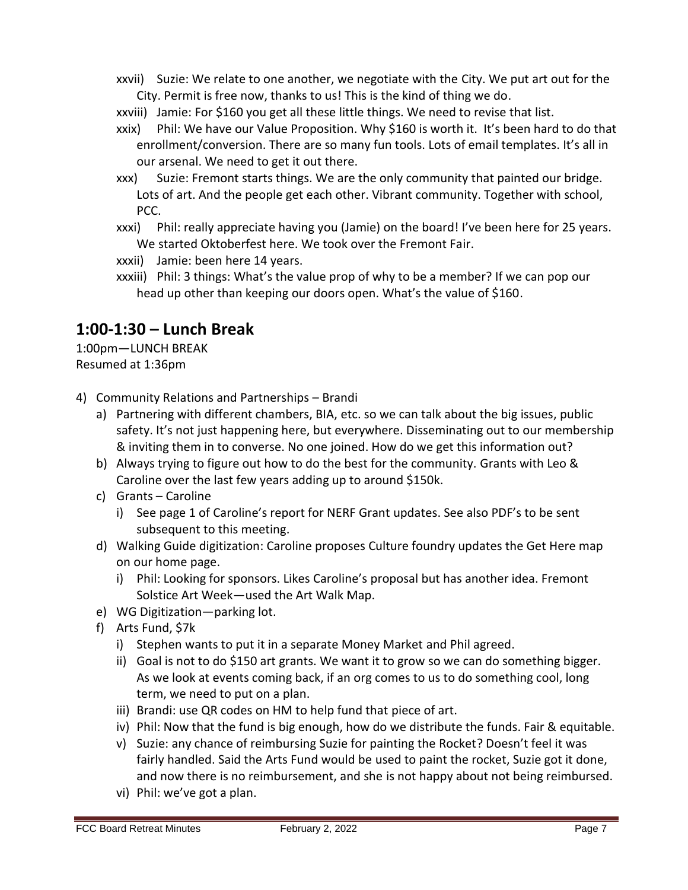- xxvii) Suzie: We relate to one another, we negotiate with the City. We put art out for the City. Permit is free now, thanks to us! This is the kind of thing we do.
- xxviii) Jamie: For \$160 you get all these little things. We need to revise that list.
- xxix) Phil: We have our Value Proposition. Why \$160 is worth it. It's been hard to do that enrollment/conversion. There are so many fun tools. Lots of email templates. It's all in our arsenal. We need to get it out there.
- xxx) Suzie: Fremont starts things. We are the only community that painted our bridge. Lots of art. And the people get each other. Vibrant community. Together with school, PCC.
- xxxi) Phil: really appreciate having you (Jamie) on the board! I've been here for 25 years. We started Oktoberfest here. We took over the Fremont Fair.
- xxxii) Jamie: been here 14 years.
- xxxiii) Phil: 3 things: What's the value prop of why to be a member? If we can pop our head up other than keeping our doors open. What's the value of \$160.

## **1:00-1:30 – Lunch Break**

1:00pm—LUNCH BREAK Resumed at 1:36pm

- 4) Community Relations and Partnerships Brandi
	- a) Partnering with different chambers, BIA, etc. so we can talk about the big issues, public safety. It's not just happening here, but everywhere. Disseminating out to our membership & inviting them in to converse. No one joined. How do we get this information out?
	- b) Always trying to figure out how to do the best for the community. Grants with Leo & Caroline over the last few years adding up to around \$150k.
	- c) Grants Caroline
		- i) See page 1 of Caroline's report for NERF Grant updates. See also PDF's to be sent subsequent to this meeting.
	- d) Walking Guide digitization: Caroline proposes Culture foundry updates the Get Here map on our home page.
		- i) Phil: Looking for sponsors. Likes Caroline's proposal but has another idea. Fremont Solstice Art Week—used the Art Walk Map.
	- e) WG Digitization—parking lot.
	- f) Arts Fund, \$7k
		- i) Stephen wants to put it in a separate Money Market and Phil agreed.
		- ii) Goal is not to do \$150 art grants. We want it to grow so we can do something bigger. As we look at events coming back, if an org comes to us to do something cool, long term, we need to put on a plan.
		- iii) Brandi: use QR codes on HM to help fund that piece of art.
		- iv) Phil: Now that the fund is big enough, how do we distribute the funds. Fair & equitable.
		- v) Suzie: any chance of reimbursing Suzie for painting the Rocket? Doesn't feel it was fairly handled. Said the Arts Fund would be used to paint the rocket, Suzie got it done, and now there is no reimbursement, and she is not happy about not being reimbursed.
		- vi) Phil: we've got a plan.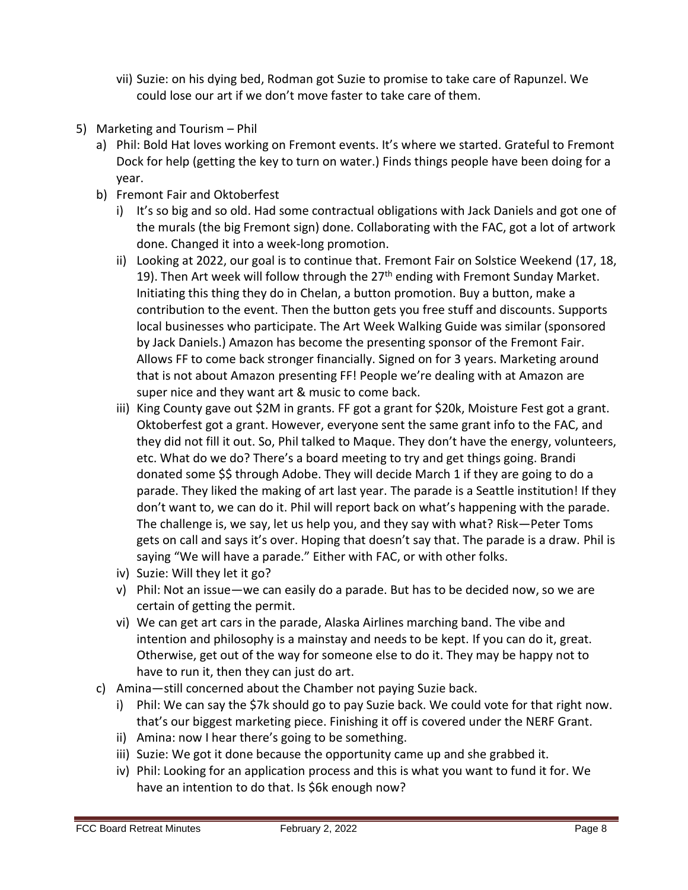- vii) Suzie: on his dying bed, Rodman got Suzie to promise to take care of Rapunzel. We could lose our art if we don't move faster to take care of them.
- 5) Marketing and Tourism Phil
	- a) Phil: Bold Hat loves working on Fremont events. It's where we started. Grateful to Fremont Dock for help (getting the key to turn on water.) Finds things people have been doing for a year.
	- b) Fremont Fair and Oktoberfest
		- i) It's so big and so old. Had some contractual obligations with Jack Daniels and got one of the murals (the big Fremont sign) done. Collaborating with the FAC, got a lot of artwork done. Changed it into a week-long promotion.
		- ii) Looking at 2022, our goal is to continue that. Fremont Fair on Solstice Weekend (17, 18, 19). Then Art week will follow through the  $27<sup>th</sup>$  ending with Fremont Sunday Market. Initiating this thing they do in Chelan, a button promotion. Buy a button, make a contribution to the event. Then the button gets you free stuff and discounts. Supports local businesses who participate. The Art Week Walking Guide was similar (sponsored by Jack Daniels.) Amazon has become the presenting sponsor of the Fremont Fair. Allows FF to come back stronger financially. Signed on for 3 years. Marketing around that is not about Amazon presenting FF! People we're dealing with at Amazon are super nice and they want art & music to come back.
		- iii) King County gave out \$2M in grants. FF got a grant for \$20k, Moisture Fest got a grant. Oktoberfest got a grant. However, everyone sent the same grant info to the FAC, and they did not fill it out. So, Phil talked to Maque. They don't have the energy, volunteers, etc. What do we do? There's a board meeting to try and get things going. Brandi donated some \$\$ through Adobe. They will decide March 1 if they are going to do a parade. They liked the making of art last year. The parade is a Seattle institution! If they don't want to, we can do it. Phil will report back on what's happening with the parade. The challenge is, we say, let us help you, and they say with what? Risk—Peter Toms gets on call and says it's over. Hoping that doesn't say that. The parade is a draw. Phil is saying "We will have a parade." Either with FAC, or with other folks.
		- iv) Suzie: Will they let it go?
		- v) Phil: Not an issue—we can easily do a parade. But has to be decided now, so we are certain of getting the permit.
		- vi) We can get art cars in the parade, Alaska Airlines marching band. The vibe and intention and philosophy is a mainstay and needs to be kept. If you can do it, great. Otherwise, get out of the way for someone else to do it. They may be happy not to have to run it, then they can just do art.
	- c) Amina—still concerned about the Chamber not paying Suzie back.
		- i) Phil: We can say the \$7k should go to pay Suzie back. We could vote for that right now. that's our biggest marketing piece. Finishing it off is covered under the NERF Grant.
		- ii) Amina: now I hear there's going to be something.
		- iii) Suzie: We got it done because the opportunity came up and she grabbed it.
		- iv) Phil: Looking for an application process and this is what you want to fund it for. We have an intention to do that. Is \$6k enough now?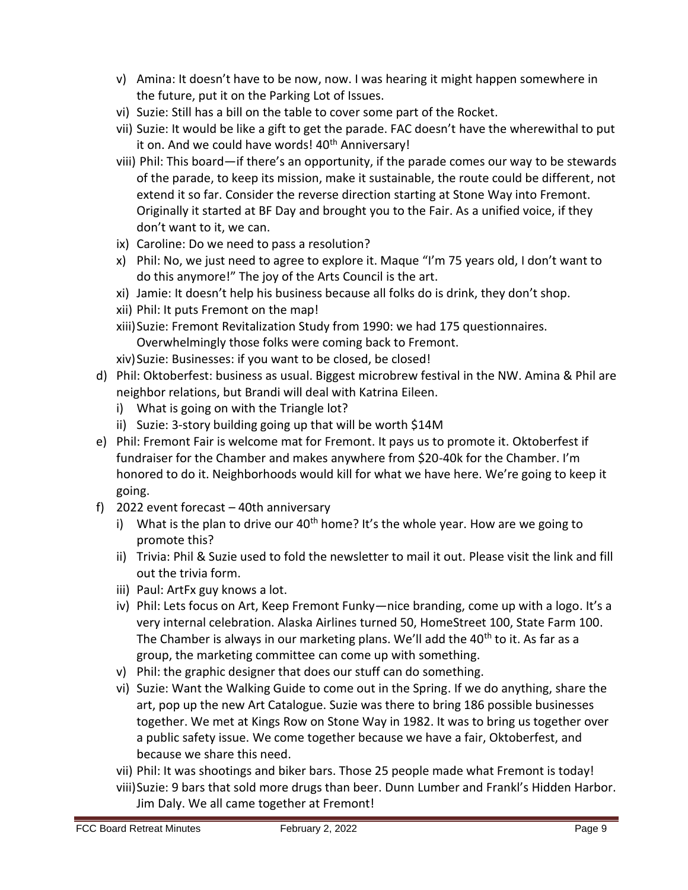- v) Amina: It doesn't have to be now, now. I was hearing it might happen somewhere in the future, put it on the Parking Lot of Issues.
- vi) Suzie: Still has a bill on the table to cover some part of the Rocket.
- vii) Suzie: It would be like a gift to get the parade. FAC doesn't have the wherewithal to put it on. And we could have words! 40<sup>th</sup> Anniversary!
- viii) Phil: This board—if there's an opportunity, if the parade comes our way to be stewards of the parade, to keep its mission, make it sustainable, the route could be different, not extend it so far. Consider the reverse direction starting at Stone Way into Fremont. Originally it started at BF Day and brought you to the Fair. As a unified voice, if they don't want to it, we can.
- ix) Caroline: Do we need to pass a resolution?
- x) Phil: No, we just need to agree to explore it. Maque "I'm 75 years old, I don't want to do this anymore!" The joy of the Arts Council is the art.
- xi) Jamie: It doesn't help his business because all folks do is drink, they don't shop.
- xii) Phil: It puts Fremont on the map!
- xiii)Suzie: Fremont Revitalization Study from 1990: we had 175 questionnaires. Overwhelmingly those folks were coming back to Fremont.
- xiv)Suzie: Businesses: if you want to be closed, be closed!
- d) Phil: Oktoberfest: business as usual. Biggest microbrew festival in the NW. Amina & Phil are neighbor relations, but Brandi will deal with Katrina Eileen.
	- i) What is going on with the Triangle lot?
	- ii) Suzie: 3-story building going up that will be worth \$14M
- e) Phil: Fremont Fair is welcome mat for Fremont. It pays us to promote it. Oktoberfest if fundraiser for the Chamber and makes anywhere from \$20-40k for the Chamber. I'm honored to do it. Neighborhoods would kill for what we have here. We're going to keep it going.
- f) 2022 event forecast 40th anniversary
	- i) What is the plan to drive our  $40<sup>th</sup>$  home? It's the whole year. How are we going to promote this?
	- ii) Trivia: Phil & Suzie used to fold the newsletter to mail it out. Please visit the link and fill out the trivia form.
	- iii) Paul: ArtFx guy knows a lot.
	- iv) Phil: Lets focus on Art, Keep Fremont Funky—nice branding, come up with a logo. It's a very internal celebration. Alaska Airlines turned 50, HomeStreet 100, State Farm 100. The Chamber is always in our marketing plans. We'll add the  $40<sup>th</sup>$  to it. As far as a group, the marketing committee can come up with something.
	- v) Phil: the graphic designer that does our stuff can do something.
	- vi) Suzie: Want the Walking Guide to come out in the Spring. If we do anything, share the art, pop up the new Art Catalogue. Suzie was there to bring 186 possible businesses together. We met at Kings Row on Stone Way in 1982. It was to bring us together over a public safety issue. We come together because we have a fair, Oktoberfest, and because we share this need.
	- vii) Phil: It was shootings and biker bars. Those 25 people made what Fremont is today!
	- viii)Suzie: 9 bars that sold more drugs than beer. Dunn Lumber and Frankl's Hidden Harbor. Jim Daly. We all came together at Fremont!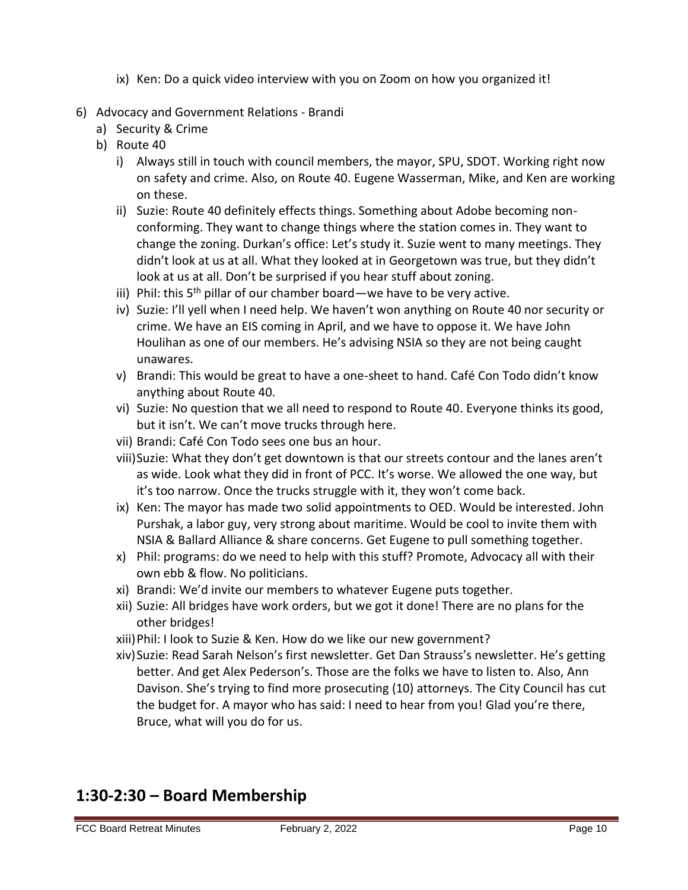- ix) Ken: Do a quick video interview with you on Zoom on how you organized it!
- 6) Advocacy and Government Relations Brandi
	- a) Security & Crime
	- b) Route 40
		- i) Always still in touch with council members, the mayor, SPU, SDOT. Working right now on safety and crime. Also, on Route 40. Eugene Wasserman, Mike, and Ken are working on these.
		- ii) Suzie: Route 40 definitely effects things. Something about Adobe becoming nonconforming. They want to change things where the station comes in. They want to change the zoning. Durkan's office: Let's study it. Suzie went to many meetings. They didn't look at us at all. What they looked at in Georgetown was true, but they didn't look at us at all. Don't be surprised if you hear stuff about zoning.
		- iii) Phil: this  $5<sup>th</sup>$  pillar of our chamber board—we have to be very active.
		- iv) Suzie: I'll yell when I need help. We haven't won anything on Route 40 nor security or crime. We have an EIS coming in April, and we have to oppose it. We have John Houlihan as one of our members. He's advising NSIA so they are not being caught unawares.
		- v) Brandi: This would be great to have a one-sheet to hand. Café Con Todo didn't know anything about Route 40.
		- vi) Suzie: No question that we all need to respond to Route 40. Everyone thinks its good, but it isn't. We can't move trucks through here.
		- vii) Brandi: Café Con Todo sees one bus an hour.
		- viii)Suzie: What they don't get downtown is that our streets contour and the lanes aren't as wide. Look what they did in front of PCC. It's worse. We allowed the one way, but it's too narrow. Once the trucks struggle with it, they won't come back.
		- ix) Ken: The mayor has made two solid appointments to OED. Would be interested. John Purshak, a labor guy, very strong about maritime. Would be cool to invite them with NSIA & Ballard Alliance & share concerns. Get Eugene to pull something together.
		- x) Phil: programs: do we need to help with this stuff? Promote, Advocacy all with their own ebb & flow. No politicians.
		- xi) Brandi: We'd invite our members to whatever Eugene puts together.
		- xii) Suzie: All bridges have work orders, but we got it done! There are no plans for the other bridges!
		- xiii)Phil: I look to Suzie & Ken. How do we like our new government?
		- xiv)Suzie: Read Sarah Nelson's first newsletter. Get Dan Strauss's newsletter. He's getting better. And get Alex Pederson's. Those are the folks we have to listen to. Also, Ann Davison. She's trying to find more prosecuting (10) attorneys. The City Council has cut the budget for. A mayor who has said: I need to hear from you! Glad you're there, Bruce, what will you do for us.

# **1:30-2:30 – Board Membership**